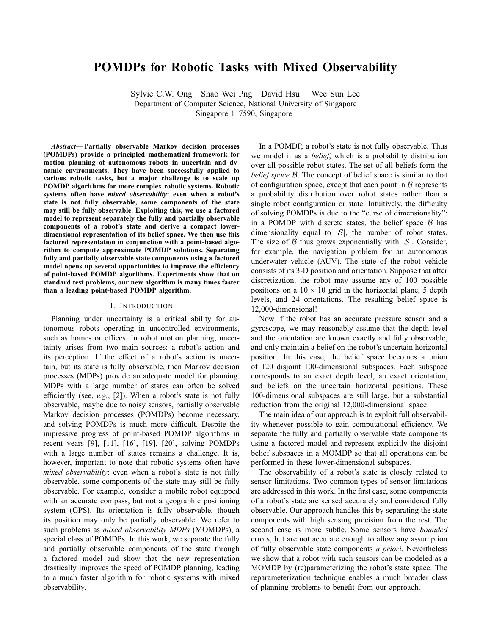# **POMDPs for Robotic Tasks with Mixed Observability**

Sylvie C.W. Ong Shao Wei Png David Hsu Wee Sun Lee Department of Computer Science, National University of Singapore Singapore 117590, Singapore

*Abstract***— Partially observable Markov decision processes (POMDPs) provide a principled mathematical framework for motion planning of autonomous robots in uncertain and dynamic environments. They have been successfully applied to various robotic tasks, but a major challenge is to scale up POMDP algorithms for more complex robotic systems. Robotic systems often have** *mixed observability***: even when a robot's state is not fully observable, some components of the state may still be fully observable. Exploiting this, we use a factored model to represent separately the fully and partially observable components of a robot's state and derive a compact lowerdimensional representation of its belief space. We then use this factored representation in conjunction with a point-based algorithm to compute approximate POMDP solutions. Separating fully and partially observable state components using a factored model opens up several opportunities to improve the efficiency of point-based POMDP algorithms. Experiments show that on standard test problems, our new algorithm is many times faster than a leading point-based POMDP algorithm.**

#### I. INTRODUCTION

Planning under uncertainty is a critical ability for autonomous robots operating in uncontrolled environments, such as homes or offices. In robot motion planning, uncertainty arises from two main sources: a robot's action and its perception. If the effect of a robot's action is uncertain, but its state is fully observable, then Markov decision processes (MDPs) provide an adequate model for planning. MDPs with a large number of states can often be solved efficiently (see, *e.g.*, [2]). When a robot's state is not fully observable, maybe due to noisy sensors, partially observable Markov decision processes (POMDPs) become necessary, and solving POMDPs is much more difficult. Despite the impressive progress of point-based POMDP algorithms in recent years [9], [11], [16], [19], [20], solving POMDPs with a large number of states remains a challenge. It is, however, important to note that robotic systems often have *mixed observability*: even when a robot's state is not fully observable, some components of the state may still be fully observable. For example, consider a mobile robot equipped with an accurate compass, but not a geographic positioning system (GPS). Its orientation is fully observable, though its position may only be partially observable. We refer to such problems as *mixed observability MDPs* (MOMDPs), a special class of POMDPs. In this work, we separate the fully and partially observable components of the state through a factored model and show that the new representation drastically improves the speed of POMDP planning, leading to a much faster algorithm for robotic systems with mixed observability.

In a POMDP, a robot's state is not fully observable. Thus we model it as a *belief*, which is a probability distribution over all possible robot states. The set of all beliefs form the *belief space* B. The concept of belief space is similar to that of configuration space, except that each point in  $\beta$  represents a probability distribution over robot states rather than a single robot configuration or state. Intuitively, the difficulty of solving POMDPs is due to the "curse of dimensionality": in a POMDP with discrete states, the belief space  $\beta$  has dimensionality equal to  $|S|$ , the number of robot states. The size of  $\beta$  thus grows exponentially with  $|\mathcal{S}|$ . Consider, for example, the navigation problem for an autonomous underwater vehicle (AUV). The state of the robot vehicle consists of its 3-D position and orientation. Suppose that after discretization, the robot may assume any of 100 possible positions on a  $10 \times 10$  grid in the horizontal plane, 5 depth levels, and 24 orientations. The resulting belief space is 12,000-dimensional!

Now if the robot has an accurate pressure sensor and a gyroscope, we may reasonably assume that the depth level and the orientation are known exactly and fully observable, and only maintain a belief on the robot's uncertain horizontal position. In this case, the belief space becomes a union of 120 disjoint 100-dimensional subspaces. Each subspace corresponds to an exact depth level, an exact orientation, and beliefs on the uncertain horizontal positions. These 100-dimensional subspaces are still large, but a substantial reduction from the original 12,000-dimensional space.

The main idea of our approach is to exploit full observability whenever possible to gain computational efficiency. We separate the fully and partially observable state components using a factored model and represent explicitly the disjoint belief subspaces in a MOMDP so that all operations can be performed in these lower-dimensional subspaces.

The observability of a robot's state is closely related to sensor limitations. Two common types of sensor limitations are addressed in this work. In the first case, some components of a robot's state are sensed accurately and considered fully observable. Our approach handles this by separating the state components with high sensing precision from the rest. The second case is more subtle. Some sensors have *bounded* errors, but are not accurate enough to allow any assumption of fully observable state components *a priori*. Nevertheless we show that a robot with such sensors can be modeled as a MOMDP by (re)parameterizing the robot's state space. The reparameterization technique enables a much broader class of planning problems to benefit from our approach.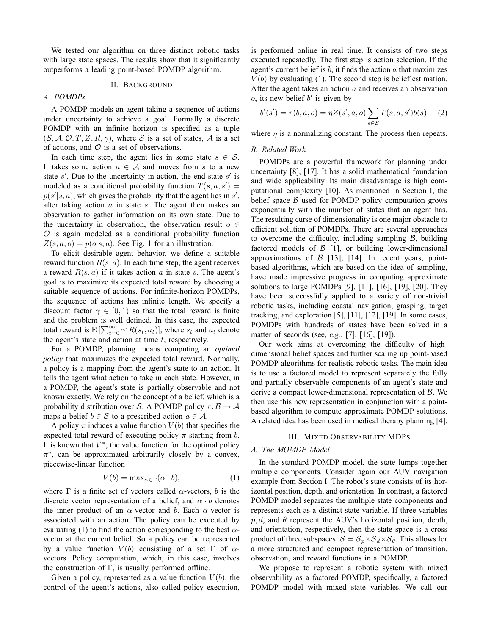We tested our algorithm on three distinct robotic tasks with large state spaces. The results show that it significantly outperforms a leading point-based POMDP algorithm.

## II. BACKGROUND

# *A. POMDPs*

A POMDP models an agent taking a sequence of actions under uncertainty to achieve a goal. Formally a discrete POMDP with an infinite horizon is specified as a tuple  $(S, A, O, T, Z, R, \gamma)$ , where S is a set of states, A is a set of actions, and  $\mathcal O$  is a set of observations.

In each time step, the agent lies in some state  $s \in S$ . It takes some action  $a \in A$  and moves from s to a new state  $s'$ . Due to the uncertainty in action, the end state  $s'$  is modeled as a conditional probability function  $T(s, a, s') =$  $p(s'|s, a)$ , which gives the probability that the agent lies in s', after taking action  $a$  in state  $s$ . The agent then makes an observation to gather information on its own state. Due to the uncertainty in observation, the observation result  $o \in$  $O$  is again modeled as a conditional probability function  $Z(s, a, o) = p(o|s, a)$ . See Fig. 1 for an illustration.

To elicit desirable agent behavior, we define a suitable reward function  $R(s, a)$ . In each time step, the agent receives a reward  $R(s, a)$  if it takes action a in state s. The agent's goal is to maximize its expected total reward by choosing a suitable sequence of actions. For infinite-horizon POMDPs, the sequence of actions has infinite length. We specify a discount factor  $\gamma \in [0, 1)$  so that the total reward is finite and the problem is well defined. In this case, the expected total reward is  $E\left[\sum_{t=0}^{\infty} \gamma^t R(s_t, a_t)\right]$ , where  $s_t$  and  $a_t$  denote the agent's state and action at time  $t$ , respectively.

For a POMDP, planning means computing an *optimal policy* that maximizes the expected total reward. Normally, a policy is a mapping from the agent's state to an action. It tells the agent what action to take in each state. However, in a POMDP, the agent's state is partially observable and not known exactly. We rely on the concept of a belief, which is a probability distribution over S. A POMDP policy  $\pi: \mathcal{B} \to \mathcal{A}$ maps a belief  $b \in \mathcal{B}$  to a prescribed action  $a \in \mathcal{A}$ .

A policy  $\pi$  induces a value function  $V(b)$  that specifies the expected total reward of executing policy  $\pi$  starting from b. It is known that  $V^*$ , the value function for the optimal policy  $\pi^*$ , can be approximated arbitrarily closely by a convex, piecewise-linear function

$$
V(b) = \max_{\alpha \in \Gamma} (\alpha \cdot b), \tag{1}
$$

where  $\Gamma$  is a finite set of vectors called  $\alpha$ -vectors, b is the discrete vector representation of a belief, and  $\alpha \cdot b$  denotes the inner product of an  $\alpha$ -vector and b. Each  $\alpha$ -vector is associated with an action. The policy can be executed by evaluating (1) to find the action corresponding to the best  $\alpha$ vector at the current belief. So a policy can be represented by a value function  $V(b)$  consisting of a set  $\Gamma$  of  $\alpha$ vectors. Policy computation, which, in this case, involves the construction of  $\Gamma$ , is usually performed offline.

Given a policy, represented as a value function  $V(b)$ , the control of the agent's actions, also called policy execution,

is performed online in real time. It consists of two steps executed repeatedly. The first step is action selection. If the agent's current belief is  $b$ , it finds the action  $a$  that maximizes  $V(b)$  by evaluating (1). The second step is belief estimation. After the agent takes an action  $a$  and receives an observation  $o$ , its new belief  $b'$  is given by

$$
b'(s') = \tau(b, a, o) = \eta Z(s', a, o) \sum_{s \in S} T(s, a, s') b(s), \quad (2)
$$

where  $\eta$  is a normalizing constant. The process then repeats.

#### *B. Related Work*

POMDPs are a powerful framework for planning under uncertainty [8], [17]. It has a solid mathematical foundation and wide applicability. Its main disadvantage is high computational complexity [10]. As mentioned in Section I, the belief space  $\beta$  used for POMDP policy computation grows exponentially with the number of states that an agent has. The resulting curse of dimensionality is one major obstacle to efficient solution of POMDPs. There are several approaches to overcome the difficulty, including sampling  $B$ , building factored models of  $\beta$  [1], or building lower-dimensional approximations of  $\beta$  [13], [14]. In recent years, pointbased algorithms, which are based on the idea of sampling, have made impressive progress in computing approximate solutions to large POMDPs [9], [11], [16], [19], [20]. They have been successfully applied to a variety of non-trivial robotic tasks, including coastal navigation, grasping, target tracking, and exploration [5], [11], [12], [19]. In some cases, POMDPs with hundreds of states have been solved in a matter of seconds (see, *e.g.*, [7], [16], [19]).

Our work aims at overcoming the difficulty of highdimensional belief spaces and further scaling up point-based POMDP algorithms for realistic robotic tasks. The main idea is to use a factored model to represent separately the fully and partially observable components of an agent's state and derive a compact lower-dimensional representation of B. We then use this new representation in conjunction with a pointbased algorithm to compute approximate POMDP solutions. A related idea has been used in medical therapy planning [4].

# III. MIXED OBSERVABILITY MDPS

# *A. The MOMDP Model*

In the standard POMDP model, the state lumps together multiple components. Consider again our AUV navigation example from Section I. The robot's state consists of its horizontal position, depth, and orientation. In contrast, a factored POMDP model separates the multiple state components and represents each as a distinct state variable. If three variables  $p, d$ , and  $\theta$  represent the AUV's horizontal position, depth, and orientation, respectively, then the state space is a cross product of three subspaces:  $S = S_p \times S_d \times S_\theta$ . This allows for a more structured and compact representation of transition, observation, and reward functions in a POMDP.

We propose to represent a robotic system with mixed observability as a factored POMDP, specifically, a factored POMDP model with mixed state variables. We call our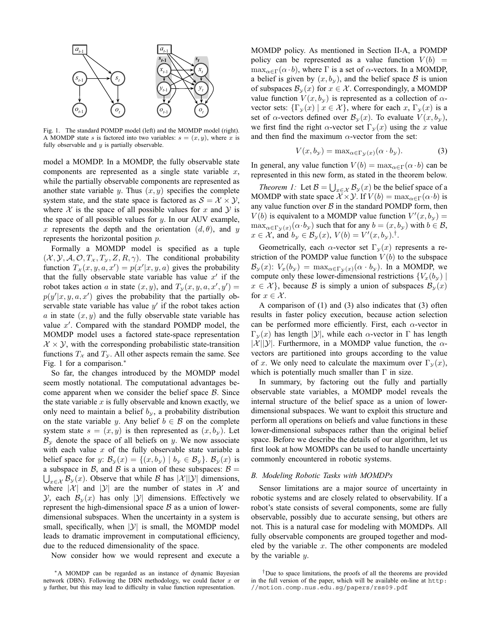

Fig. 1. The standard POMDP model (left) and the MOMDP model (right). A MOMDP state s is factored into two variables:  $s = (x, y)$ , where x is fully observable and  $y$  is partially observable.

model a MOMDP. In a MOMDP, the fully observable state components are represented as a single state variable  $x$ , while the partially observable components are represented as another state variable y. Thus  $(x, y)$  specifies the complete system state, and the state space is factored as  $S = \mathcal{X} \times \mathcal{Y}$ , where  $X$  is the space of all possible values for x and Y is the space of all possible values for  $y$ . In our AUV example, x represents the depth and the orientation  $(d, \theta)$ , and y represents the horizontal position p.

Formally a MOMDP model is specified as a tuple  $(X, Y, A, O, T<sub>x</sub>, T<sub>y</sub>, Z, R, \gamma)$ . The conditional probability function  $T_x(x, y, a, x') = p(x'|x, y, a)$  gives the probability that the fully observable state variable has value  $x'$  if the robot takes action a in state  $(x, y)$ , and  $T_y(x, y, a, x', y') =$  $p(y'|x, y, a, x')$  gives the probability that the partially observable state variable has value  $y'$  if the robot takes action a in state  $(x, y)$  and the fully observable state variable has value  $x'$ . Compared with the standard POMDP model, the MOMDP model uses a factored state-space representation  $X \times Y$ , with the corresponding probabilistic state-transition functions  $T_x$  and  $T_y$ . All other aspects remain the same. See Fig. 1 for a comparison.∗

So far, the changes introduced by the MOMDP model seem mostly notational. The computational advantages become apparent when we consider the belief space  $B$ . Since the state variable  $x$  is fully observable and known exactly, we only need to maintain a belief  $b<sub>y</sub>$ , a probability distribution on the state variable y. Any belief  $b \in \mathcal{B}$  on the complete system state  $s = (x, y)$  is then represented as  $(x, b_y)$ . Let  $B<sub>y</sub>$  denote the space of all beliefs on y. We now associate with each value  $x$  of the fully observable state variable a belief space for y:  $\mathcal{B}_{\mathcal{Y}}(x) = \{(x, b_{\mathcal{Y}}) \mid b_{\mathcal{Y}} \in \mathcal{B}_{\mathcal{Y}}\}\)$ .  $\mathcal{B}_{\mathcal{Y}}(x)$  is a subspace in B, and B is a union of these subspaces:  $B =$  $\bigcup_{x \in \mathcal{X}} \mathcal{B}_{\mathcal{Y}}(x)$ . Observe that while  $\mathcal{B}$  has  $|\mathcal{X}| |\mathcal{Y}|$  dimensions, where  $|\mathcal{X}|$  and  $|\mathcal{Y}|$  are the number of states in X and  $\mathcal{Y}$ , each  $\mathcal{B}_{\mathcal{Y}}(x)$  has only  $|\mathcal{Y}|$  dimensions. Effectively we represent the high-dimensional space  $\beta$  as a union of lowerdimensional subspaces. When the uncertainty in a system is small, specifically, when  $|y|$  is small, the MOMDP model leads to dramatic improvement in computational efficiency, due to the reduced dimensionality of the space.

Now consider how we would represent and execute a

MOMDP policy. As mentioned in Section II-A, a POMDP policy can be represented as a value function  $V(b)$  =  $\max_{\alpha \in \Gamma} (\alpha \cdot b)$ , where  $\Gamma$  is a set of  $\alpha$ -vectors. In a MOMDP, a belief is given by  $(x, b_y)$ , and the belief space  $\beta$  is union of subspaces  $\mathcal{B}_{\gamma}(x)$  for  $x \in \mathcal{X}$ . Correspondingly, a MOMDP value function  $V(x, b_y)$  is represented as a collection of  $\alpha$ vector sets:  $\{\Gamma_{\mathcal{Y}}(x) \mid x \in \mathcal{X}\}\)$ , where for each  $x, \Gamma_{\mathcal{Y}}(x)$  is a set of  $\alpha$ -vectors defined over  $\mathcal{B}_{\gamma}(x)$ . To evaluate  $V(x, b_{\gamma})$ , we first find the right  $\alpha$ -vector set  $\Gamma_{\mathcal{Y}}(x)$  using the x value and then find the maximum  $\alpha$ -vector from the set:

$$
V(x, b_{y}) = \max_{\alpha \in \Gamma_{\mathcal{Y}}(x)} (\alpha \cdot b_{y}). \tag{3}
$$

In general, any value function  $V(b) = \max_{\alpha \in \Gamma} (\alpha \cdot b)$  can be represented in this new form, as stated in the theorem below.

*Theorem 1:* Let  $B = \bigcup_{x \in \mathcal{X}} B_{\mathcal{Y}}(x)$  be the belief space of a MOMDP with state space  $\mathcal{X} \times \mathcal{Y}$ . If  $V(b) = \max_{\alpha \in \Gamma} (\alpha \cdot b)$  is any value function over  $B$  in the standard POMDP form, then  $V(b)$  is equivalent to a MOMDP value function  $V'(x, b_y) =$  $\max_{\alpha \in \Gamma_y(x)} (\alpha \cdot b_y)$  such that for any  $b = (x, b_y)$  with  $b \in \mathcal{B}$ ,  $x \in \mathcal{X}$ , and  $b_y \in \mathcal{B}_y(x)$ ,  $V(b) = V'(x, b_y)$ .<sup>†</sup>.

Geometrically, each  $\alpha$ -vector set  $\Gamma_{\gamma}(x)$  represents a restriction of the POMDP value function  $V(b)$  to the subspace  $\mathcal{B}_{\mathcal{Y}}(x)$ :  $V_x(b_y) = \max_{\alpha \in \Gamma_{\mathcal{Y}}(x)} (\alpha \cdot b_y)$ . In a MOMDP, we compute only these lower-dimensional restrictions  ${V_x(b_y)}$  $x \in \mathcal{X}$ , because B is simply a union of subspaces  $\mathcal{B}_{\mathcal{Y}}(x)$ for  $x \in \mathcal{X}$ .

A comparison of (1) and (3) also indicates that (3) often results in faster policy execution, because action selection can be performed more efficiently. First, each  $\alpha$ -vector in  $\Gamma_{\gamma}(x)$  has length  $|y|$ , while each α-vector in Γ has length  $|\mathcal{X}||\mathcal{Y}|$ . Furthermore, in a MOMDP value function, the  $\alpha$ vectors are partitioned into groups according to the value of x. We only need to calculate the maximum over  $\Gamma_{\nu}(x)$ , which is potentially much smaller than  $\Gamma$  in size.

In summary, by factoring out the fully and partially observable state variables, a MOMDP model reveals the internal structure of the belief space as a union of lowerdimensional subspaces. We want to exploit this structure and perform all operations on beliefs and value functions in these lower-dimensional subspaces rather than the original belief space. Before we describe the details of our algorithm, let us first look at how MOMDPs can be used to handle uncertainty commonly encountered in robotic systems.

#### *B. Modeling Robotic Tasks with MOMDPs*

Sensor limitations are a major source of uncertainty in robotic systems and are closely related to observability. If a robot's state consists of several components, some are fully observable, possibly due to accurate sensing, but others are not. This is a natural case for modeling with MOMDPs. All fully observable components are grouped together and modeled by the variable  $x$ . The other components are modeled by the variable  $y$ .

<sup>∗</sup>A MOMDP can be regarded as an instance of dynamic Bayesian network (DBN). Following the DBN methodology, we could factor  $x$  or y further, but this may lead to difficulty in value function representation.

<sup>†</sup>Due to space limitations, the proofs of all the theorems are provided in the full version of the paper, which will be available on-line at http: //motion.comp.nus.edu.sg/papers/rss09.pdf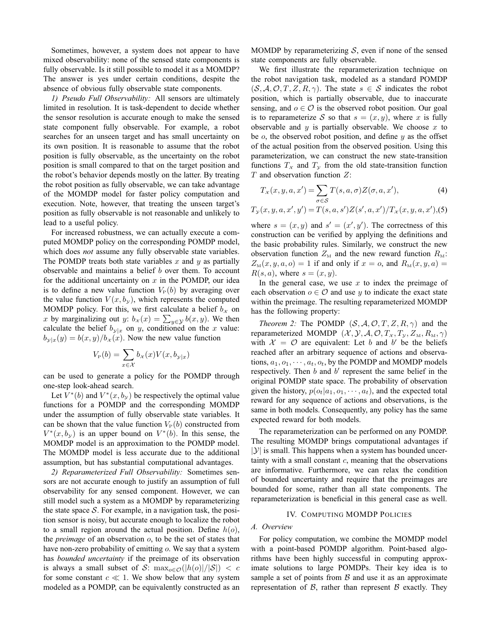Sometimes, however, a system does not appear to have mixed observability: none of the sensed state components is fully observable. Is it still possible to model it as a MOMDP? The answer is yes under certain conditions, despite the absence of obvious fully observable state components.

*1) Pseudo Full Observability:* All sensors are ultimately limited in resolution. It is task-dependent to decide whether the sensor resolution is accurate enough to make the sensed state component fully observable. For example, a robot searches for an unseen target and has small uncertainty on its own position. It is reasonable to assume that the robot position is fully observable, as the uncertainty on the robot position is small compared to that on the target position and the robot's behavior depends mostly on the latter. By treating the robot position as fully observable, we can take advantage of the MOMDP model for faster policy computation and execution. Note, however, that treating the unseen target's position as fully observable is not reasonable and unlikely to lead to a useful policy.

For increased robustness, we can actually execute a computed MOMDP policy on the corresponding POMDP model, which does *not* assume any fully observable state variables. The POMDP treats both state variables  $x$  and  $y$  as partially observable and maintains a belief b over them. To account for the additional uncertainty on  $x$  in the POMDP, our idea is to define a new value function  $V_P(b)$  by averaging over the value function  $V(x, b_y)$ , which represents the computed MOMDP policy. For this, we first calculate a belief  $b_x$  on x by marginalizing out y:  $b_x(x) = \sum_{y \in \mathcal{Y}} b(x, y)$ . We then calculate the belief  $b_{y|x}$  on y, conditioned on the x value:  $b_{y|x}(y) = b(x, y)/b_x(x)$ . Now the new value function

$$
V_{\mathcal{P}}(b) = \sum_{x \in \mathcal{X}} b_{\mathcal{X}}(x) V(x, b_{\mathcal{Y}|x})
$$

can be used to generate a policy for the POMDP through one-step look-ahead search.

Let  $V^*(b)$  and  $V^*(x, b_y)$  be respectively the optimal value functions for a POMDP and the corresponding MOMDP under the assumption of fully observable state variables. It can be shown that the value function  $V_P(b)$  constructed from  $V^*(x, b_y)$  is an upper bound on  $V^*(b)$ . In this sense, the MOMDP model is an approximation to the POMDP model. The MOMDP model is less accurate due to the additional assumption, but has substantial computational advantages.

*2) Reparameterized Full Observability:* Sometimes sensors are not accurate enough to justify an assumption of full observability for any sensed component. However, we can still model such a system as a MOMDP by reparameterizing the state space  $S$ . For example, in a navigation task, the position sensor is noisy, but accurate enough to localize the robot to a small region around the actual position. Define  $h(o)$ , the *preimage* of an observation o, to be the set of states that have non-zero probability of emitting o. We say that a system has *bounded uncertainty* if the preimage of its observation is always a small subset of S:  $\max_{o \in \mathcal{O}}(|h(o)|/|\mathcal{S}|) < c$ for some constant  $c \ll 1$ . We show below that any system modeled as a POMDP, can be equivalently constructed as an MOMDP by reparameterizing  $S$ , even if none of the sensed state components are fully observable.

We first illustrate the reparameterization technique on the robot navigation task, modeled as a standard POMDP  $(S, A, O, T, Z, R, \gamma)$ . The state  $s \in S$  indicates the robot position, which is partially observable, due to inaccurate sensing, and  $o \in \mathcal{O}$  is the observed robot position. Our goal is to reparameterize S so that  $s = (x, y)$ , where x is fully observable and  $y$  is partially observable. We choose  $x$  to be  $o$ , the observed robot position, and define  $y$  as the offset of the actual position from the observed position. Using this parameterization, we can construct the new state-transition functions  $T_x$  and  $T_y$  from the old state-transition function  $T$  and observation function  $Z$ :

$$
T_x(x, y, a, x') = \sum_{\sigma \in \mathcal{S}} T(s, a, \sigma) Z(\sigma, a, x'), \tag{4}
$$

$$
T_{\mathcal{Y}}(x, y, a, x', y') = T(s, a, s')Z(s', a, x')/T_{\mathcal{X}}(x, y, a, x'), (5)
$$

where  $s = (x, y)$  and  $s' = (x', y')$ . The correctness of this construction can be verified by applying the definitions and the basic probability rules. Similarly, we construct the new observation function  $Z_M$  and the new reward function  $R_M$ :  $Z_M(x, y, a, o) = 1$  if and only if  $x = o$ , and  $R_M(x, y, a) =$  $R(s, a)$ , where  $s = (x, y)$ .

In the general case, we use  $x$  to index the preimage of each observation  $o \in \mathcal{O}$  and use y to indicate the exact state within the preimage. The resulting reparameterized MOMDP has the following property:

*Theorem 2:* The POMDP  $(S, A, O, T, Z, R, \gamma)$  and the reparameterized MOMDP  $(\mathcal{X}, \mathcal{Y}, \mathcal{A}, \mathcal{O}, T_{\mathcal{X}}, T_{\mathcal{Y}}, Z_{\mathcal{M}}, R_{\mathcal{M}}, \gamma)$ with  $\mathcal{X} = \mathcal{O}$  are equivalent: Let b and b' be the beliefs reached after an arbitrary sequence of actions and observations,  $a_1, o_1, \dots, a_t, o_t$ , by the POMDP and MOMDP models respectively. Then  $b$  and  $b'$  represent the same belief in the original POMDP state space. The probability of observation given the history,  $p(o_t|a_1, o_1, \dots, a_t)$ , and the expected total reward for any sequence of actions and observations, is the same in both models. Consequently, any policy has the same expected reward for both models.

The reparameterization can be performed on any POMDP. The resulting MOMDP brings computational advantages if  $|\mathcal{Y}|$  is small. This happens when a system has bounded uncertainty with a small constant  $c$ , meaning that the observations are informative. Furthermore, we can relax the condition of bounded uncertainty and require that the preimages are bounded for some, rather than all state components. The reparameterization is beneficial in this general case as well.

## IV. COMPUTING MOMDP POLICIES

#### *A. Overview*

For policy computation, we combine the MOMDP model with a point-based POMDP algorithm. Point-based algorithms have been highly successful in computing approximate solutions to large POMDPs. Their key idea is to sample a set of points from  $\beta$  and use it as an approximate representation of  $\beta$ , rather than represent  $\beta$  exactly. They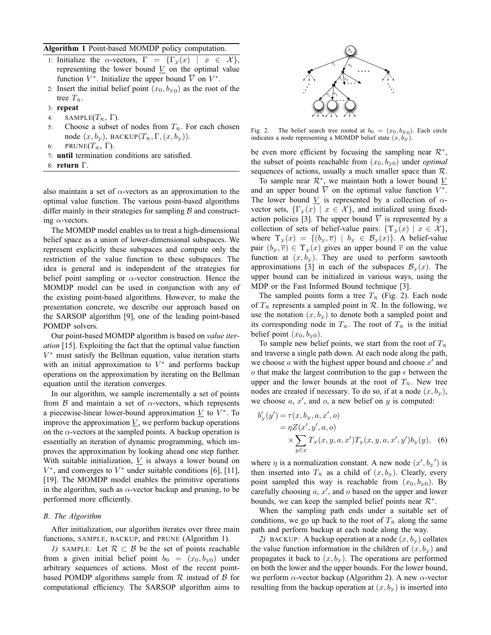**Algorithm 1** Point-based MOMDP policy computation.

- 1: Initialize the  $\alpha$ -vectors,  $\Gamma = {\lbrace \Gamma_{\mathcal{Y}}(x) \mid x \in \mathcal{X} \rbrace}$ , representing the lower bound  $V$  on the optimal value function  $V^*$ . Initialize the upper bound  $\overline{V}$  on  $V^*$ .
- 2: Insert the initial belief point  $(x_0, b_{y_0})$  as the root of the tree  $T_{\mathcal{R}}$ .
- 3: **repeat**
- 4: SAMPLE $(T_{\mathcal{R}}, \Gamma)$ .
- 5: Choose a subset of nodes from  $T_{\mathcal{R}}$ . For each chosen node  $(x, b_y)$ , BACKUP $(T_{\mathcal{R}}, \Gamma, (x, b_y))$ .
- 6: PRUNE $(T_{\mathcal{R}}, \Gamma)$ .
- 7: **until** termination conditions are satisfied.
- 8: **return** Γ.

also maintain a set of  $\alpha$ -vectors as an approximation to the optimal value function. The various point-based algorithms differ mainly in their strategies for sampling  $\beta$  and constructing  $\alpha$ -vectors.

The MOMDP model enables us to treat a high-dimensional belief space as a union of lower-dimensional subspaces. We represent explicitly these subspaces and compute only the restriction of the value function to these subspaces. The idea is general and is independent of the strategies for belief point sampling or  $\alpha$ -vector construction. Hence the MOMDP model can be used in conjunction with any of the existing point-based algorithms. However, to make the presentation concrete, we describe our approach based on the SARSOP algorithm [9], one of the leading point-based POMDP solvers.

Our point-based MOMDP algorithm is based on *value iteration* [15]. Exploiting the fact that the optimal value function  $V^*$  must satisfy the Bellman equation, value iteration starts with an initial approximation to  $V^*$  and performs backup operations on the approximation by iterating on the Bellman equation until the iteration converges.

In our algorithm, we sample incrementally a set of points from B and maintain a set of  $\alpha$ -vectors, which represents a piecewise-linear lower-bound approximation  $V$  to  $V^*$ . To improve the approximation  $V$ , we perform backup operations on the  $\alpha$ -vectors at the sampled points. A backup operation is essentially an iteration of dynamic programming, which improves the approximation by looking ahead one step further. With suitable initialization, V is always a lower bound on  $V^*$ , and converges to  $V^*$  under suitable conditions [6], [11], [19]. The MOMDP model enables the primitive operations in the algorithm, such as  $\alpha$ -vector backup and pruning, to be performed more efficiently.

## *B. The Algorithm*

After initialization, our algorithm iterates over three main functions, SAMPLE, BACKUP, and PRUNE (Algorithm 1).

*1)* SAMPLE: Let  $\mathcal{R} \subset \mathcal{B}$  be the set of points reachable from a given initial belief point  $b_0 = (x_0, b_{y0})$  under arbitrary sequences of actions. Most of the recent pointbased POMDP algorithms sample from  $R$  instead of  $B$  for computational efficiency. The SARSOP algorithm aims to



Fig. 2. The belief search tree rooted at  $b_0 = (x_0, b_{y_0})$ . Each circle indicates a node representing a MOMDP belief state  $(x, b<sub>y</sub>)$ .

be even more efficient by focusing the sampling near  $\mathcal{R}^*$ , the subset of points reachable from  $(x_0, b_{y0})$  under *optimal* sequences of actions, usually a much smaller space than  $\mathcal{R}$ .

To sample near  $\mathcal{R}^*$ , we maintain both a lower bound  $\underline{V}$ and an upper bound  $\overline{V}$  on the optimal value function  $V^*$ . The lower bound  $\underline{V}$  is represented by a collection of  $\alpha$ vector sets,  $\{\Gamma_{\mathcal{Y}}(x) \mid x \in \mathcal{X}\}\$ , and initialized using fixedaction policies [3]. The upper bound  $V$  is represented by a collection of sets of belief-value pairs:  $\{\Upsilon_y(x) \mid x \in \mathcal{X}\},\$ where  $\Upsilon_{y}(x) = \{(b_{y}, \overline{v}) | b_{y} \in \mathcal{B}_{y}(x)\}\)$ . A belief-value pair  $(b_y, \overline{v}) \in \Upsilon_y(x)$  gives an upper bound  $\overline{v}$  on the value function at  $(x, b_y)$ . They are used to perform sawtooth approximations [3] in each of the subspaces  $\mathcal{B}_{\nu}(x)$ . The upper bound can be initialized in various ways, using the MDP or the Fast Informed Bound technique [3].

The sampled points form a tree  $T_R$  (Fig. 2). Each node of  $T_R$  represents a sampled point in  $R$ . In the following, we use the notation  $(x, b_y)$  to denote both a sampled point and its corresponding node in  $T_{\mathcal{R}}$ . The root of  $T_{\mathcal{R}}$  is the initial belief point  $(x_0, b_{\nu 0})$ .

To sample new belief points, we start from the root of  $T_{\rm R}$ and traverse a single path down. At each node along the path, we choose a with the highest upper bound and choose  $x'$  and o that make the largest contribution to the gap  $\epsilon$  between the upper and the lower bounds at the root of  $T_{\mathcal{R}}$ . New tree nodes are created if necessary. To do so, if at a node  $(x, b_y)$ , we choose  $a, x'$ , and  $o$ , a new belief on  $y$  is computed:

$$
b'_{y}(y') = \tau(x, b_{y}, a, x', o)
$$
  
=  $\eta Z(x', y', a, o)$   

$$
\times \sum_{y \in y} T_{x}(x, y, a, x') T_{y}(x, y, a, x', y') b_{y}(y),
$$
 (6)

where  $\eta$  is a normalization constant. A new node  $(x', b_{y}')$  is then inserted into  $T_R$  as a child of  $(x, b_y)$ . Clearly, every point sampled this way is reachable from  $(x_0, b_{y0})$ . By carefully choosing  $a, x'$ , and  $o$  based on the upper and lower bounds, we can keep the sampled belief points near  $\mathcal{R}^*$ .

When the sampling path ends under a suitable set of conditions, we go up back to the root of  $T<sub>R</sub>$  along the same path and perform backup at each node along the way.

2) BACKUP: A backup operation at a node  $(x, b_y)$  collates the value function information in the children of  $(x, b<sub>y</sub>)$  and propagates it back to  $(x, b_y)$ . The operations are performed on both the lower and the upper bounds. For the lower bound, we perform  $\alpha$ -vector backup (Algorithm 2). A new  $\alpha$ -vector resulting from the backup operation at  $(x, b_y)$  is inserted into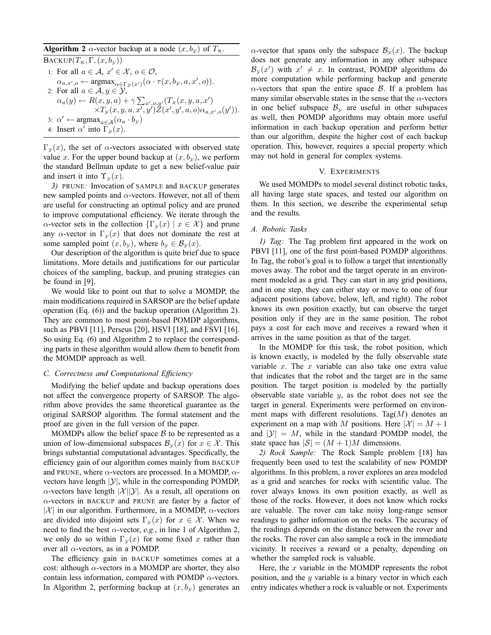# **Algorithm 2**  $\alpha$ -vector backup at a node  $(x, b_y)$  of  $T_{\alpha}$ .

 $\text{BackUP}(T_{\mathcal{R}}, \Gamma, (x, b_{\mathcal{Y}}))$ 1: For all  $a \in \mathcal{A}$ ,  $x' \in \mathcal{X}$ ,  $o \in \mathcal{O}$ ,  $\alpha_{a,x',o} \leftarrow \argmax_{\alpha \in \Gamma_{\mathcal{Y}}(x')} (\alpha \cdot \tau(x, b_{\mathcal{Y}}, a, x', o)).$ 2: For all  $a \in \mathcal{A}, y \in \mathcal{Y},$  $\alpha_a(y) \leftarrow R(x, y, a) + \gamma \sum_{x', o, y'} (T_x(x, y, a, x'))$  $\times T_\mathcal{Y}(x,y,a,\overline{x'},y')Z(x',y',a,o)\alpha_{a,x',o}(y')).$ 3:  $\alpha' \leftarrow \operatorname{argmax}_{a \in \mathcal{A}} (\alpha_a \cdot b_{\mathcal{Y}})$ 4: Insert  $\alpha'$  into  $\Gamma_{\mathcal{Y}}(x)$ .

 $\Gamma_{\mathcal{V}}(x)$ , the set of  $\alpha$ -vectors associated with observed state value x. For the upper bound backup at  $(x, b_y)$ , we perform the standard Bellman update to get a new belief-value pair and insert it into  $\Upsilon_{y}(x)$ .

*3)* PRUNE*:* Invocation of SAMPLE and BACKUP generates new sampled points and  $\alpha$ -vectors. However, not all of them are useful for constructing an optimal policy and are pruned to improve computational efficiency. We iterate through the  $\alpha$ -vector sets in the collection  $\{\Gamma_{\mathcal{Y}}(x) \mid x \in \mathcal{X}\}\$ and prune any  $\alpha$ -vector in  $\Gamma_{\mathcal{Y}}(x)$  that does not dominate the rest at some sampled point  $(x, b_y)$ , where  $b_y \in B_y(x)$ .

Our description of the algorithm is quite brief due to space limitations. More details and justifications for our particular choices of the sampling, backup, and pruning strategies can be found in [9].

We would like to point out that to solve a MOMDP, the main modifications required in SARSOP are the belief update operation (Eq. (6)) and the backup operation (Algorithm 2). They are common to most point-based POMDP algorithms, such as PBVI [11], Perseus [20], HSVI [18], and FSVI [16]. So using Eq. (6) and Algorithm 2 to replace the corresponding parts in these algorithm would allow them to benefit from the MOMDP approach as well.

#### *C. Correctness and Computational Efficiency*

Modifying the belief update and backup operations does not affect the convergence property of SARSOP. The algorithm above provides the same theoretical guarantee as the original SARSOP algorithm. The formal statement and the proof are given in the full version of the paper.

MOMDPs allow the belief space  $\beta$  to be represented as a union of low-dimensional subspaces  $\mathcal{B}_{\mathcal{Y}}(x)$  for  $x \in \mathcal{X}$ . This brings substantial computational advantages. Specifically, the efficiency gain of our algorithm comes mainly from BACKUP and PRUNE, where  $\alpha$ -vectors are processed. In a MOMDP,  $\alpha$ vectors have length  $|y|$ , while in the corresponding POMDP,  $\alpha$ -vectors have length  $|\mathcal{X}||\mathcal{Y}|$ . As a result, all operations on  $\alpha$ -vectors in BACKUP and PRUNE are faster by a factor of | $\mathcal{X}$ | in our algorithm. Furthermore, in a MOMDP,  $\alpha$ -vectors are divided into disjoint sets  $\Gamma_{\mathcal{Y}}(x)$  for  $x \in \mathcal{X}$ . When we need to find the best  $\alpha$ -vector, *e.g.*, in line 1 of Algorithm 2, we only do so within  $\Gamma_{\mathcal{Y}}(x)$  for some fixed x rather than over all  $\alpha$ -vectors, as in a POMDP.

The efficiency gain in BACKUP sometimes comes at a cost: although  $\alpha$ -vectors in a MOMDP are shorter, they also contain less information, compared with POMDP  $\alpha$ -vectors. In Algorithm 2, performing backup at  $(x, b_y)$  generates an  $\alpha$ -vector that spans only the subspace  $\mathcal{B}_{\gamma}(x)$ . The backup does not generate any information in any other subspace  $\mathcal{B}_{\mathcal{Y}}(x')$  with  $x' \neq x$ . In contrast, POMDP algorithms do more computation while performing backup and generate  $\alpha$ -vectors that span the entire space  $\beta$ . If a problem has many similar observable states in the sense that the  $\alpha$ -vectors in one belief subspace  $\mathcal{B}_y$  are useful in other subspaces as well, then POMDP algorithms may obtain more useful information in each backup operation and perform better than our algorithm, despite the higher cost of each backup operation. This, however, requires a special property which may not hold in general for complex systems.

#### V. EXPERIMENTS

We used MOMDPs to model several distinct robotic tasks, all having large state spaces, and tested our algorithm on them. In this section, we describe the experimental setup and the results.

# *A. Robotic Tasks*

*1) Tag:* The Tag problem first appeared in the work on PBVI [11], one of the first point-based POMDP algorithms. In Tag, the robot's goal is to follow a target that intentionally moves away. The robot and the target operate in an environment modeled as a grid. They can start in any grid positions, and in one step, they can either stay or move to one of four adjacent positions (above, below, left, and right). The robot knows its own position exactly, but can observe the target position only if they are in the same position. The robot pays a cost for each move and receives a reward when it arrives in the same position as that of the target.

In the MOMDP for this task, the robot position, which is known exactly, is modeled by the fully observable state variable  $x$ . The  $x$  variable can also take one extra value that indicates that the robot and the target are in the same position. The target position is modeled by the partially observable state variable  $y$ , as the robot does not see the target in general. Experiments were performed on environment maps with different resolutions. Tag $(M)$  denotes an experiment on a map with M positions. Here  $|\mathcal{X}| = M + 1$ and  $|\mathcal{Y}| = M$ , while in the standard POMDP model, the state space has  $|S| = (M + 1)M$  dimensions.

*2) Rock Sample:* The Rock Sample problem [18] has frequently been used to test the scalability of new POMDP algorithms. In this problem, a rover explores an area modeled as a grid and searches for rocks with scientific value. The rover always knows its own position exactly, as well as those of the rocks. However, it does not know which rocks are valuable. The rover can take noisy long-range sensor readings to gather information on the rocks. The accuracy of the readings depends on the distance between the rover and the rocks. The rover can also sample a rock in the immediate vicinity. It receives a reward or a penalty, depending on whether the sampled rock is valuable.

Here, the  $x$  variable in the MOMDP represents the robot position, and the  $y$  variable is a binary vector in which each entry indicates whether a rock is valuable or not. Experiments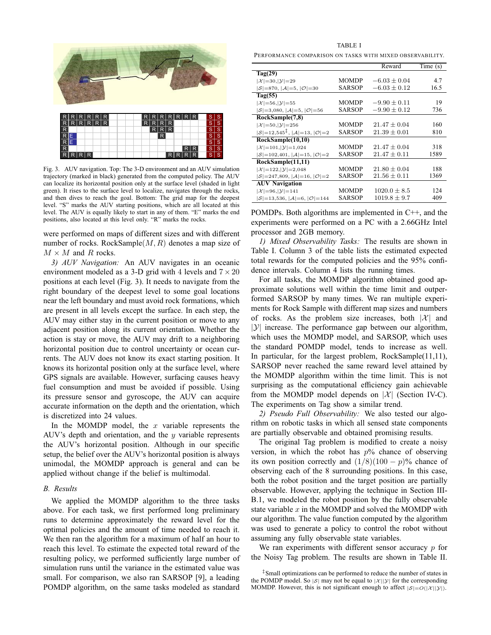

Fig. 3. AUV navigation. Top: The 3-D environment and an AUV simulation trajectory (marked in black) generated from the computed policy. The AUV can localize its horizontal position only at the surface level (shaded in light green). It rises to the surface level to localize, navigates through the rocks, and then dives to reach the goal. Bottom: The grid map for the deepest level. "S" marks the AUV starting positions, which are all located at this level. The AUV is equally likely to start in any of them. "E" marks the end positions, also located at this level only. "R" marks the rocks.

were performed on maps of different sizes and with different number of rocks. RockSample $(M, R)$  denotes a map size of  $M \times M$  and R rocks.

*3) AUV Navigation:* An AUV navigates in an oceanic environment modeled as a 3-D grid with 4 levels and  $7 \times 20$ positions at each level (Fig. 3). It needs to navigate from the right boundary of the deepest level to some goal locations near the left boundary and must avoid rock formations, which are present in all levels except the surface. In each step, the AUV may either stay in the current position or move to any adjacent position along its current orientation. Whether the action is stay or move, the AUV may drift to a neighboring horizontal position due to control uncertainty or ocean currents. The AUV does not know its exact starting position. It knows its horizontal position only at the surface level, where GPS signals are available. However, surfacing causes heavy fuel consumption and must be avoided if possible. Using its pressure sensor and gyroscope, the AUV can acquire accurate information on the depth and the orientation, which is discretized into 24 values.

In the MOMDP model, the  $x$  variable represents the AUV's depth and orientation, and the  $y$  variable represents the AUV's horizontal position. Although in our specific setup, the belief over the AUV's horizontal position is always unimodal, the MOMDP approach is general and can be applied without change if the belief is multimodal.

#### *B. Results*

We applied the MOMDP algorithm to the three tasks above. For each task, we first performed long preliminary runs to determine approximately the reward level for the optimal policies and the amount of time needed to reach it. We then ran the algorithm for a maximum of half an hour to reach this level. To estimate the expected total reward of the resulting policy, we performed sufficiently large number of simulation runs until the variance in the estimated value was small. For comparison, we also ran SARSOP [9], a leading POMDP algorithm, on the same tasks modeled as standard

TABLE I PERFORMANCE COMPARISON ON TASKS WITH MIXED OBSERVABILITY.

|               | Reward           | Time(s) |
|---------------|------------------|---------|
|               |                  |         |
| MOMDP         | $-6.03 \pm 0.04$ | 4.7     |
| <b>SARSOP</b> | $-6.03 \pm 0.12$ | 16.5    |
|               |                  |         |
| <b>MOMDP</b>  | $-9.90 \pm 0.11$ | 19      |
| <b>SARSOP</b> | $-9.90 \pm 0.12$ | 736     |
|               |                  |         |
| MOMDP         | $21.47 \pm 0.04$ | 160     |
| <b>SARSOP</b> | $21.39 \pm 0.01$ | 810     |
|               |                  |         |
| MOMDP         | $21.47 \pm 0.04$ | 318     |
| <b>SARSOP</b> | $21.47 \pm 0.11$ | 1589    |
|               |                  |         |
| <b>MOMDP</b>  | $21.80 \pm 0.04$ | 188     |
| <b>SARSOP</b> | $21.56 \pm 0.11$ | 1369    |
|               |                  |         |
| <b>MOMDP</b>  | $1020.0 \pm 8.5$ | 124     |
| <b>SARSOP</b> | $1019.8 \pm 9.7$ | 409     |
|               |                  |         |

POMDPs. Both algorithms are implemented in C++, and the experiments were performed on a PC with a 2.66GHz Intel processor and 2GB memory.

*1) Mixed Observability Tasks:* The results are shown in Table I. Column 3 of the table lists the estimated expected total rewards for the computed policies and the 95% confidence intervals. Column 4 lists the running times.

For all tasks, the MOMDP algorithm obtained good approximate solutions well within the time limit and outperformed SARSOP by many times. We ran multiple experiments for Rock Sample with different map sizes and numbers of rocks. As the problem size increases, both  $|\mathcal{X}|$  and  $|\mathcal{Y}|$  increase. The performance gap between our algorithm, which uses the MOMDP model, and SARSOP, which uses the standard POMDP model, tends to increase as well. In particular, for the largest problem, RockSample(11,11), SARSOP never reached the same reward level attained by the MOMDP algorithm within the time limit. This is not surprising as the computational efficiency gain achievable from the MOMDP model depends on  $|\mathcal{X}|$  (Section IV-C). The experiments on Tag show a similar trend.

*2) Pseudo Full Observability:* We also tested our algorithm on robotic tasks in which all sensed state components are partially observable and obtained promising results.

The original Tag problem is modified to create a noisy version, in which the robot has  $p\%$  chance of observing its own position correctly and  $(1/8)(100 - p)\%$  chance of observing each of the 8 surrounding positions. In this case, both the robot position and the target position are partially observable. However, applying the technique in Section III-B.1, we modeled the robot position by the fully observable state variable  $x$  in the MOMDP and solved the MOMDP with our algorithm. The value function computed by the algorithm was used to generate a policy to control the robot without assuming any fully observable state variables.

We ran experiments with different sensor accuracy p for the Noisy Tag problem. The results are shown in Table II.

<sup>‡</sup>Small optimizations can be performed to reduce the number of states in the POMDP model. So  $|S|$  may not be equal to  $|\mathcal{X}||\mathcal{Y}|$  for the corresponding MOMDP. However, this is not significant enough to affect  $|S|=O(|\mathcal{X}||\mathcal{Y}|)$ .